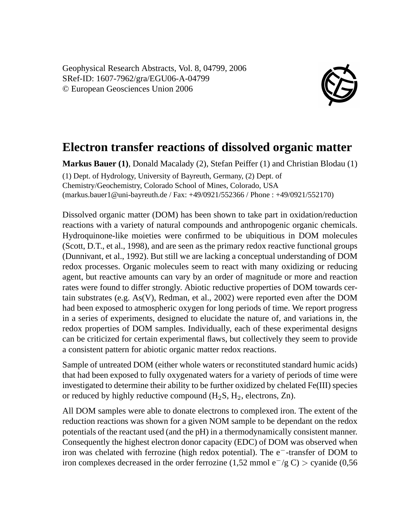Geophysical Research Abstracts, Vol. 8, 04799, 2006 SRef-ID: 1607-7962/gra/EGU06-A-04799 © European Geosciences Union 2006



## **Electron transfer reactions of dissolved organic matter**

**Markus Bauer (1)**, Donald Macalady (2), Stefan Peiffer (1) and Christian Blodau (1) (1) Dept. of Hydrology, University of Bayreuth, Germany, (2) Dept. of Chemistry/Geochemistry, Colorado School of Mines, Colorado, USA (markus.bauer1@uni-bayreuth.de / Fax: +49/0921/552366 / Phone : +49/0921/552170)

Dissolved organic matter (DOM) has been shown to take part in oxidation/reduction reactions with a variety of natural compounds and anthropogenic organic chemicals. Hydroquinone-like moieties were confirmed to be ubiquitious in DOM molecules (Scott, D.T., et al., 1998), and are seen as the primary redox reactive functional groups (Dunnivant, et al., 1992). But still we are lacking a conceptual understanding of DOM redox processes. Organic molecules seem to react with many oxidizing or reducing agent, but reactive amounts can vary by an order of magnitude or more and reaction rates were found to differ strongly. Abiotic reductive properties of DOM towards certain substrates (e.g. As(V), Redman, et al., 2002) were reported even after the DOM had been exposed to atmospheric oxygen for long periods of time. We report progress in a series of experiments, designed to elucidate the nature of, and variations in, the redox properties of DOM samples. Individually, each of these experimental designs can be criticized for certain experimental flaws, but collectively they seem to provide a consistent pattern for abiotic organic matter redox reactions.

Sample of untreated DOM (either whole waters or reconstituted standard humic acids) that had been exposed to fully oxygenated waters for a variety of periods of time were investigated to determine their ability to be further oxidized by chelated Fe(III) species or reduced by highly reductive compound  $(H_2S, H_2,$  electrons, Zn).

All DOM samples were able to donate electrons to complexed iron. The extent of the reduction reactions was shown for a given NOM sample to be dependant on the redox potentials of the reactant used (and the pH) in a thermodynamically consistent manner. Consequently the highest electron donor capacity (EDC) of DOM was observed when iron was chelated with ferrozine (high redox potential). The e<sup>−</sup>-transfer of DOM to iron complexes decreased in the order ferrozine (1,52 mmol e<sup>−/g</sup> C) > cyanide (0,56